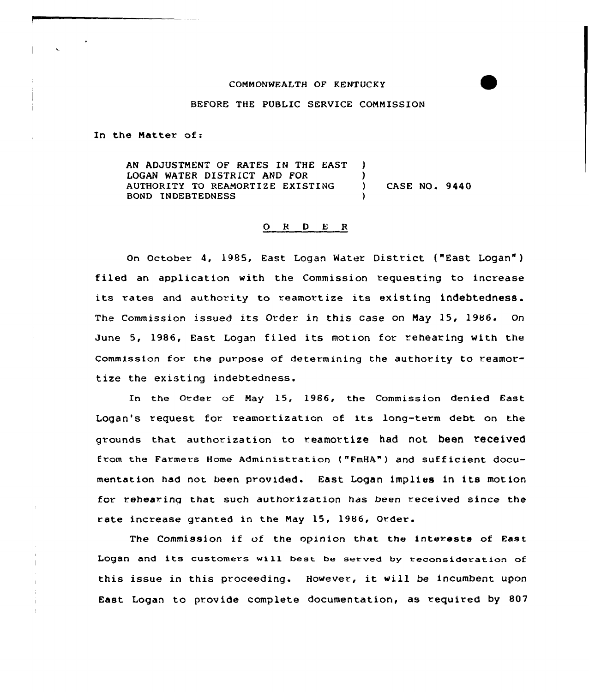## CONNONWEALTH OF KENTUCKY

## BEFORE THE PUBLIC SERVICE CONNISSION

In the Natter of:

AN ADJUSTMENT OF RATES IN THE EAST ) LOGAN WATER DISTRICT AND FOR (1) AUTHORITY TO REANORTIZE EXISTING ) CASE NO. 9440 BOND INDEBTEDNESS )

## 0 R <sup>D</sup> E <sup>R</sup>

On October 4, 1985, East Logan Water District ("East Logan") filed an application with the Commission requesting to increase its rates and authority to reamortize its existing indebtedness. The Commission issued its Order in this case on Nay 15, 1986. On June 5, 1986, East Logan filed its motion for rehearing with the Commission fov the purpose of determining the authority to reamortize the existing indebtedness.

In the Order of Nay 15, 1986, the Commission denied East Logan's request for reamortization of its long-term debt on the grounds that authorization to reamortize had not been received from the Farmevs Home Administration ("FmHA") and sufficient documentation had not been provided. East Logan implies in its motion for rehearing that such authorization has been received since the rate increase granted in the May 15, 1986, Order.

The Commission if of the opinion that the interests of East Logan and its customers will best be served by reconsideration of this issue in this proceeding. However, it will be incumbent upon East Logan to provide complete documentation, as required by 807